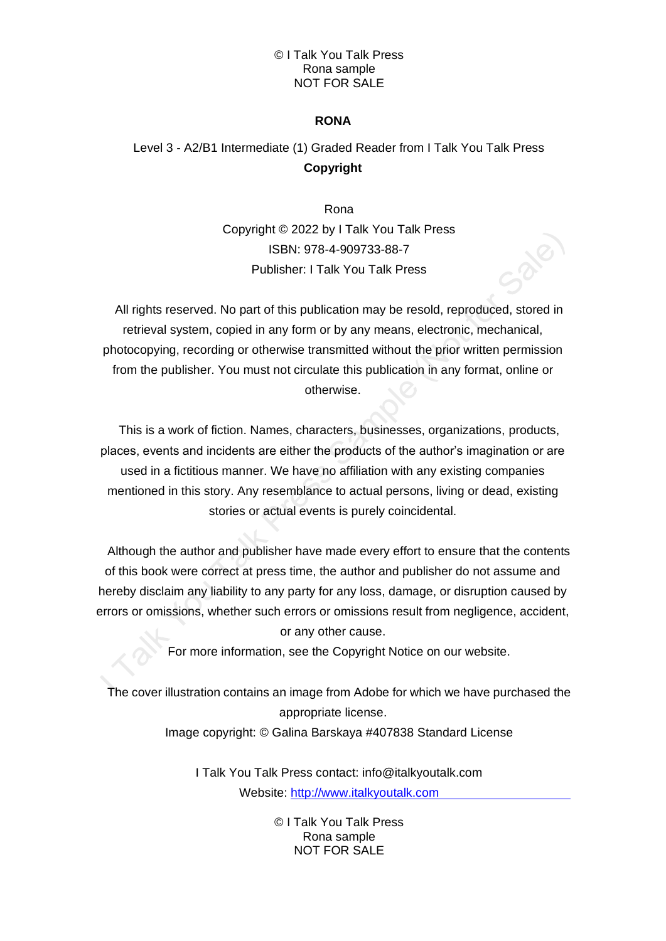#### © I Talk You Talk Press Rona sample NOT FOR SALE

## **RONA**

# Level 3 - A2/B1 Intermediate (1) Graded Reader from I Talk You Talk Press **Copyright**

Rona Copyright © 2022 by I Talk You Talk Press ISBN: 978-4-909733-88-7 Publisher: I Talk You Talk Press

All rights reserved. No part of this publication may be resold, reproduced, stored in retrieval system, copied in any form or by any means, electronic, mechanical, photocopying, recording or otherwise transmitted without the prior written permission from the publisher. You must not circulate this publication in any format, online or otherwise.

This is a work of fiction. Names, characters, businesses, organizations, products, places, events and incidents are either the products of the author's imagination or are used in a fictitious manner. We have no affiliation with any existing companies mentioned in this story. Any resemblance to actual persons, living or dead, existing stories or actual events is purely coincidental.

Although the author and publisher have made every effort to ensure that the contents of this book were correct at press time, the author and publisher do not assume and hereby disclaim any liability to any party for any loss, damage, or disruption caused by errors or omissions, whether such errors or omissions result from negligence, accident, or any other cause.

For more information, see the Copyright Notice on our website.

The cover illustration contains an image from Adobe for which we have purchased the appropriate license.

Image copyright: © Galina Barskaya #407838 Standard License

I Talk You Talk Press contact: info@italkyoutalk.com Website: [http://www.italkyoutalk.com](http://www.italkyoutalk.com/)

> © I Talk You Talk Press Rona sample NOT FOR SALE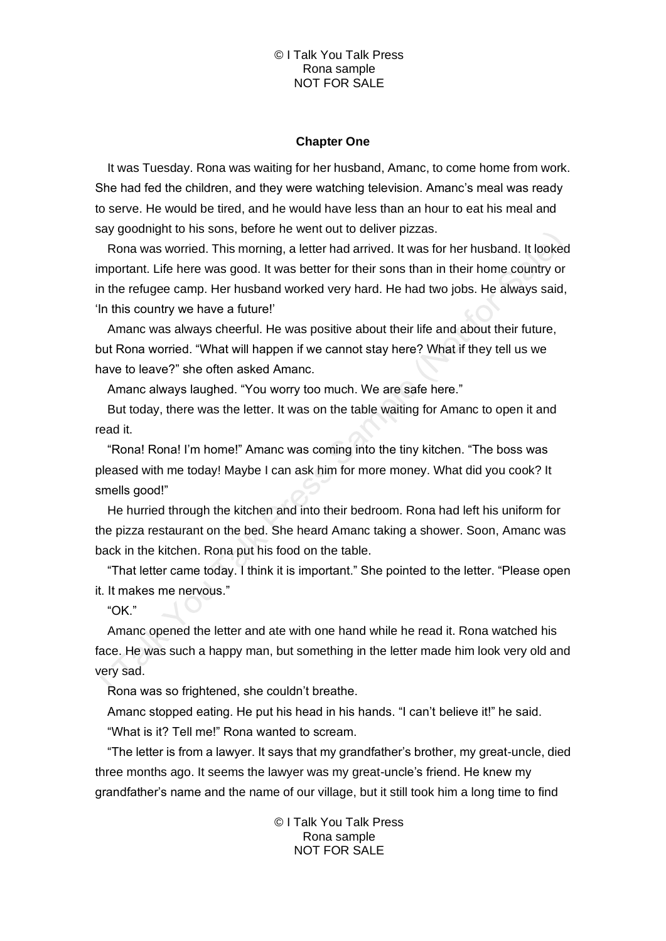#### © I Talk You Talk Press Rona sample NOT FOR SALE

#### **Chapter One**

It was Tuesday. Rona was waiting for her husband, Amanc, to come home from work. She had fed the children, and they were watching television. Amanc's meal was ready to serve. He would be tired, and he would have less than an hour to eat his meal and say goodnight to his sons, before he went out to deliver pizzas.

Rona was worried. This morning, a letter had arrived. It was for her husband. It looked important. Life here was good. It was better for their sons than in their home country or in the refugee camp. Her husband worked very hard. He had two jobs. He always said, 'In this country we have a future!'

Amanc was always cheerful. He was positive about their life and about their future, but Rona worried. "What will happen if we cannot stay here? What if they tell us we have to leave?" she often asked Amanc.

Amanc always laughed. "You worry too much. We are safe here."

But today, there was the letter. It was on the table waiting for Amanc to open it and read it.

"Rona! Rona! I'm home!" Amanc was coming into the tiny kitchen. "The boss was pleased with me today! Maybe I can ask him for more money. What did you cook? It smells good!"

He hurried through the kitchen and into their bedroom. Rona had left his uniform for the pizza restaurant on the bed. She heard Amanc taking a shower. Soon, Amanc was back in the kitchen. Rona put his food on the table.

"That letter came today. I think it is important." She pointed to the letter. "Please open it. It makes me nervous."

"OK."

Amanc opened the letter and ate with one hand while he read it. Rona watched his face. He was such a happy man, but something in the letter made him look very old and very sad.

Rona was so frightened, she couldn't breathe.

Amanc stopped eating. He put his head in his hands. "I can't believe it!" he said. "What is it? Tell me!" Rona wanted to scream.

"The letter is from a lawyer. It says that my grandfather's brother, my great-uncle, died three months ago. It seems the lawyer was my great-uncle's friend. He knew my grandfather's name and the name of our village, but it still took him a long time to find

> © I Talk You Talk Press Rona sample NOT FOR SALE